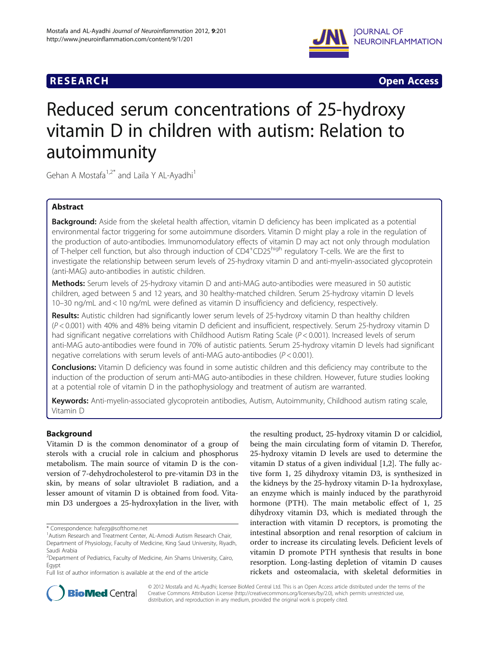



# Reduced serum concentrations of 25-hydroxy vitamin D in children with autism: Relation to autoimmunity

Gehan A Mostafa<sup>1,2\*</sup> and Laila Y AL-Ayadhi<sup>1</sup>

# Abstract

Background: Aside from the skeletal health affection, vitamin D deficiency has been implicated as a potential environmental factor triggering for some autoimmune disorders. Vitamin D might play a role in the regulation of the production of auto-antibodies. Immunomodulatory effects of vitamin D may act not only through modulation of T-helper cell function, but also through induction of CD4<sup>+</sup>CD25<sup>high</sup> regulatory T-cells. We are the first to investigate the relationship between serum levels of 25-hydroxy vitamin D and anti-myelin-associated glycoprotein (anti-MAG) auto-antibodies in autistic children.

Methods: Serum levels of 25-hydroxy vitamin D and anti-MAG auto-antibodies were measured in 50 autistic children, aged between 5 and 12 years, and 30 healthy-matched children. Serum 25-hydroxy vitamin D levels 10–30 ng/mL and < 10 ng/mL were defined as vitamin D insufficiency and deficiency, respectively.

Results: Autistic children had significantly lower serum levels of 25-hydroxy vitamin D than healthy children (P < 0.001) with 40% and 48% being vitamin D deficient and insufficient, respectively. Serum 25-hydroxy vitamin D had significant negative correlations with Childhood Autism Rating Scale ( $P < 0.001$ ). Increased levels of serum anti-MAG auto-antibodies were found in 70% of autistic patients. Serum 25-hydroxy vitamin D levels had significant negative correlations with serum levels of anti-MAG auto-antibodies ( $P < 0.001$ ).

**Conclusions:** Vitamin D deficiency was found in some autistic children and this deficiency may contribute to the induction of the production of serum anti-MAG auto-antibodies in these children. However, future studies looking at a potential role of vitamin D in the pathophysiology and treatment of autism are warranted.

Keywords: Anti-myelin-associated glycoprotein antibodies, Autism, Autoimmunity, Childhood autism rating scale, Vitamin D

# Background

Vitamin D is the common denominator of a group of sterols with a crucial role in calcium and phosphorus metabolism. The main source of vitamin D is the conversion of 7-dehydrocholesterol to pre-vitamin D3 in the skin, by means of solar ultraviolet B radiation, and a lesser amount of vitamin D is obtained from food. Vitamin D3 undergoes a 25-hydroxylation in the liver, with

Full list of author information is available at the end of the article

the resulting product, 25-hydroxy vitamin D or calcidiol, being the main circulating form of vitamin D. Therefor, 25-hydroxy vitamin D levels are used to determine the vitamin D status of a given individual [[1,2\]](#page-5-0). The fully active form 1, 25 dihydroxy vitamin D3, is synthesized in the kidneys by the 25-hydroxy vitamin D-1a hydroxylase, an enzyme which is mainly induced by the parathyroid hormone (PTH). The main metabolic effect of 1, 25 dihydroxy vitamin D3, which is mediated through the interaction with vitamin D receptors, is promoting the intestinal absorption and renal resorption of calcium in order to increase its circulating levels. Deficient levels of vitamin D promote PTH synthesis that results in bone resorption. Long-lasting depletion of vitamin D causes rickets and osteomalacia, with skeletal deformities in



© 2012 Mostafa and AL-Ayadhi; licensee BioMed Central Ltd. This is an Open Access article distributed under the terms of the Creative Commons Attribution License (<http://creativecommons.org/licenses/by/2.0>), which permits unrestricted use, distribution, and reproduction in any medium, provided the original work is properly cited.

<sup>\*</sup> Correspondence: [hafezg@softhome.net](mailto:hafezg@softhome.net) <sup>1</sup>

<sup>&</sup>lt;sup>1</sup> Autism Research and Treatment Center, AL-Amodi Autism Research Chair, Department of Physiology, Faculty of Medicine, King Saud University, Riyadh, Saudi Arabia

<sup>&</sup>lt;sup>2</sup>Department of Pediatrics, Faculty of Medicine, Ain Shams University, Cairo, Egypt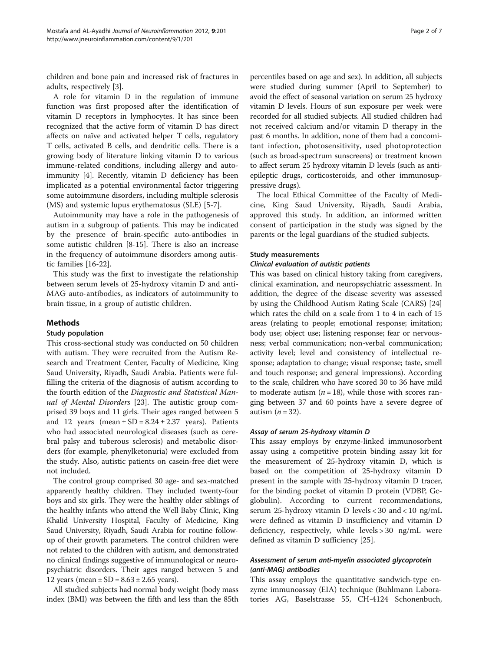children and bone pain and increased risk of fractures in adults, respectively [\[3](#page-5-0)].

A role for vitamin D in the regulation of immune function was first proposed after the identification of vitamin D receptors in lymphocytes. It has since been recognized that the active form of vitamin D has direct affects on naïve and activated helper T cells, regulatory T cells, activated B cells, and dendritic cells. There is a growing body of literature linking vitamin D to various immune-related conditions, including allergy and autoimmunity [\[4](#page-5-0)]. Recently, vitamin D deficiency has been implicated as a potential environmental factor triggering some autoimmune disorders, including multiple sclerosis (MS) and systemic lupus erythematosus (SLE) [\[5](#page-5-0)-[7\]](#page-5-0).

Autoimmunity may have a role in the pathogenesis of autism in a subgroup of patients. This may be indicated by the presence of brain-specific auto-antibodies in some autistic children [[8-15](#page-5-0)]. There is also an increase in the frequency of autoimmune disorders among autistic families [\[16-22](#page-5-0)].

This study was the first to investigate the relationship between serum levels of 25-hydroxy vitamin D and anti-MAG auto-antibodies, as indicators of autoimmunity to brain tissue, in a group of autistic children.

# Methods

## Study population

This cross-sectional study was conducted on 50 children with autism. They were recruited from the Autism Research and Treatment Center, Faculty of Medicine, King Saud University, Riyadh, Saudi Arabia. Patients were fulfilling the criteria of the diagnosis of autism according to the fourth edition of the Diagnostic and Statistical Man-ual of Mental Disorders [[23](#page-6-0)]. The autistic group comprised 39 boys and 11 girls. Their ages ranged between 5 and 12 years (mean  $\pm$  SD = 8.24  $\pm$  2.37 years). Patients who had associated neurological diseases (such as cerebral palsy and tuberous sclerosis) and metabolic disorders (for example, phenylketonuria) were excluded from the study. Also, autistic patients on casein-free diet were not included.

The control group comprised 30 age- and sex-matched apparently healthy children. They included twenty-four boys and six girls. They were the healthy older siblings of the healthy infants who attend the Well Baby Clinic, King Khalid University Hospital, Faculty of Medicine, King Saud University, Riyadh, Saudi Arabia for routine followup of their growth parameters. The control children were not related to the children with autism, and demonstrated no clinical findings suggestive of immunological or neuropsychiatric disorders. Their ages ranged between 5 and 12 years (mean  $\pm$  SD = 8.63  $\pm$  2.65 years).

All studied subjects had normal body weight (body mass index (BMI) was between the fifth and less than the 85th

percentiles based on age and sex). In addition, all subjects were studied during summer (April to September) to avoid the effect of seasonal variation on serum 25 hydroxy vitamin D levels. Hours of sun exposure per week were recorded for all studied subjects. All studied children had not received calcium and/or vitamin D therapy in the past 6 months. In addition, none of them had a concomitant infection, photosensitivity, used photoprotection (such as broad-spectrum sunscreens) or treatment known to affect serum 25 hydroxy vitamin D levels (such as antiepileptic drugs, corticosteroids, and other immunosup-

The local Ethical Committee of the Faculty of Medicine, King Saud University, Riyadh, Saudi Arabia, approved this study. In addition, an informed written consent of participation in the study was signed by the parents or the legal guardians of the studied subjects.

## Study measurements

pressive drugs).

## Clinical evaluation of autistic patients

This was based on clinical history taking from caregivers, clinical examination, and neuropsychiatric assessment. In addition, the degree of the disease severity was assessed by using the Childhood Autism Rating Scale (CARS) [[24](#page-6-0)] which rates the child on a scale from 1 to 4 in each of 15 areas (relating to people; emotional response; imitation; body use; object use; listening response; fear or nervousness; verbal communication; non-verbal communication; activity level; level and consistency of intellectual response; adaptation to change; visual response; taste, smell and touch response; and general impressions). According to the scale, children who have scored 30 to 36 have mild to moderate autism  $(n = 18)$ , while those with scores ranging between 37 and 60 points have a severe degree of autism  $(n = 32)$ .

## Assay of serum 25-hydroxy vitamin D

This assay employs by enzyme-linked immunosorbent assay using a competitive protein binding assay kit for the measurement of 25-hydroxy vitamin D, which is based on the competition of 25-hydroxy vitamin D present in the sample with 25-hydroxy vitamin D tracer, for the binding pocket of vitamin D protein (VDBP, Gcglobulin). According to current recommendations, serum 25-hydroxy vitamin D levels < 30 and < 10 ng/mL were defined as vitamin D insufficiency and vitamin D deficiency, respectively, while levels > 30 ng/mL were defined as vitamin D sufficiency [[25\]](#page-6-0).

# Assessment of serum anti-myelin associated glycoprotein (anti-MAG) antibodies

This assay employs the quantitative sandwich-type enzyme immunoassay (EIA) technique (Buhlmann Laboratories AG, Baselstrasse 55, CH-4124 Schonenbuch,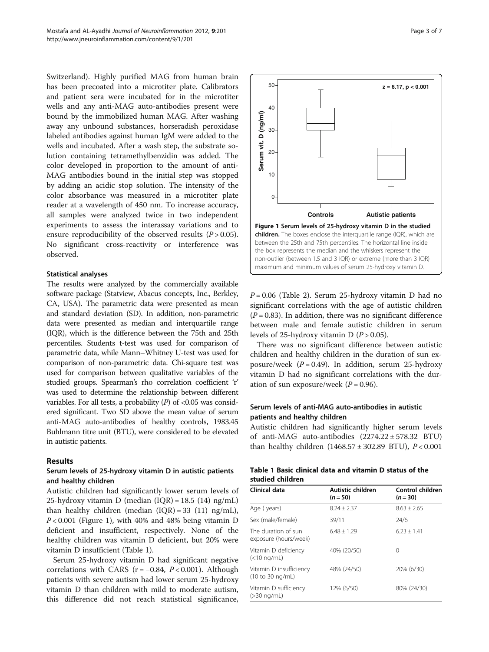Switzerland). Highly purified MAG from human brain has been precoated into a microtiter plate. Calibrators and patient sera were incubated for in the microtiter wells and any anti-MAG auto-antibodies present were bound by the immobilized human MAG. After washing away any unbound substances, horseradish peroxidase labeled antibodies against human IgM were added to the wells and incubated. After a wash step, the substrate solution containing tetramethylbenzidin was added. The color developed in proportion to the amount of anti-MAG antibodies bound in the initial step was stopped by adding an acidic stop solution. The intensity of the color absorbance was measured in a microtiter plate reader at a wavelength of 450 nm. To increase accuracy, all samples were analyzed twice in two independent experiments to assess the interassay variations and to ensure reproducibility of the observed results  $(P > 0.05)$ . No significant cross-reactivity or interference was observed.

## Statistical analyses

The results were analyzed by the commercially available software package (Statview, Abacus concepts, Inc., Berkley, CA, USA). The parametric data were presented as mean and standard deviation (SD). In addition, non-parametric data were presented as median and interquartile range (IQR), which is the difference between the 75th and 25th percentiles. Students t-test was used for comparison of parametric data, while Mann–Whitney U-test was used for comparison of non-parametric data. Chi-square test was used for comparison between qualitative variables of the studied groups. Spearman's rho correlation coefficient 'r' was used to determine the relationship between different variables. For all tests, a probability  $(P)$  of <0.05 was considered significant. Two SD above the mean value of serum anti-MAG auto-antibodies of healthy controls, 1983.45 Buhlmann titre unit (BTU), were considered to be elevated in autistic patients.

# Results

# Serum levels of 25-hydroxy vitamin D in autistic patients and healthy children

Autistic children had significantly lower serum levels of 25-hydroxy vitamin D (median  $(IQR) = 18.5$  (14) ng/mL) than healthy children (median  $(IQR) = 33$   $(11)$  ng/mL),  $P < 0.001$  (Figure 1), with 40% and 48% being vitamin D deficient and insufficient, respectively. None of the healthy children was vitamin D deficient, but 20% were vitamin D insufficient (Table 1).

Serum 25-hydroxy vitamin D had significant negative correlations with CARS ( $r = -0.84$ ,  $P < 0.001$ ). Although patients with severe autism had lower serum 25-hydroxy vitamin D than children with mild to moderate autism, this difference did not reach statistical significance,

 $P = 0.06$  (Table [2](#page-3-0)). Serum 25-hydroxy vitamin D had no significant correlations with the age of autistic children  $(P = 0.83)$ . In addition, there was no significant difference between male and female autistic children in serum levels of 25-hydroxy vitamin D  $(P > 0.05)$ .

There was no significant difference between autistic children and healthy children in the duration of sun exposure/week  $(P = 0.49)$ . In addition, serum 25-hydroxy vitamin D had no significant correlations with the duration of sun exposure/week  $(P = 0.96)$ .

# Serum levels of anti-MAG auto-antibodies in autistic patients and healthy children

Autistic children had significantly higher serum levels of anti-MAG auto-antibodies (2274.22 ± 578.32 BTU) than healthy children  $(1468.57 \pm 302.89 \text{ BTU})$ ,  $P < 0.001$ 

|                  |  |  | Table 1 Basic clinical data and vitamin D status of the |  |  |
|------------------|--|--|---------------------------------------------------------|--|--|
| studied children |  |  |                                                         |  |  |

| Clinical data                                | Autistic children<br>$(n = 50)$ | Control children<br>$(n = 30)$ |
|----------------------------------------------|---------------------------------|--------------------------------|
| Age (years)                                  | $8.24 + 2.37$                   | $8.63 + 2.65$                  |
| Sex (male/female)                            | 39/11                           | 24/6                           |
| The duration of sun<br>exposure (hours/week) | $6.48 + 1.29$                   | $6.23 + 1.41$                  |
| Vitamin D deficiency<br>(<10 ng/mL)          | 40% (20/50)                     | Ω                              |
| Vitamin D insufficiency<br>(10 to 30 ng/mL)  | 48% (24/50)                     | 20% (6/30)                     |
| Vitamin D sufficiency<br>(>30 ng/mL)         | 12% (6/50)                      | 80% (24/30)                    |

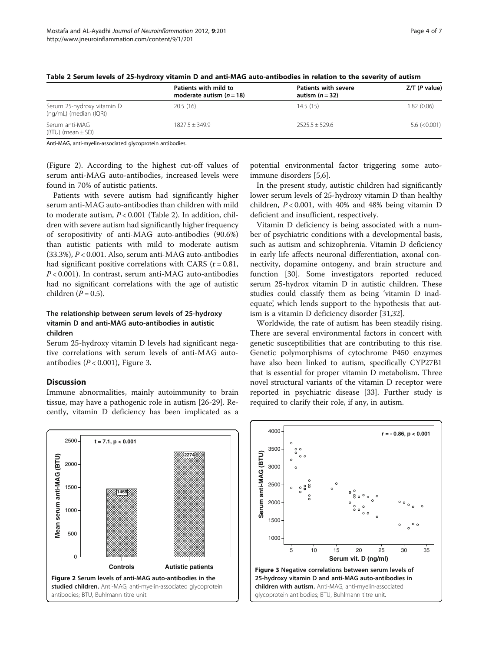|                                                      | Patients with mild to<br>moderate autism $(n=18)$ | Patients with severe<br>autism $(n=32)$ | $Z/T$ (P value)     |
|------------------------------------------------------|---------------------------------------------------|-----------------------------------------|---------------------|
| Serum 25-hydroxy vitamin D<br>(ng/mL) (median (IQR)) | 20.5(16)                                          | 14.5(15)                                | 1.82 (0.06)         |
| Serum anti-MAG<br>$(BTU)$ (mean $\pm$ SD)            | $1827.5 + 349.9$                                  | $2525.5 + 529.6$                        | $5.6$ ( $< 0.001$ ) |

<span id="page-3-0"></span>

| Table 2 Serum levels of 25-hydroxy vitamin D and anti-MAG auto-antibodies in relation to the severity of autism |  |  |
|-----------------------------------------------------------------------------------------------------------------|--|--|
|-----------------------------------------------------------------------------------------------------------------|--|--|

Anti-MAG, anti-myelin-associated glycoprotein antibodies.

(Figure 2). According to the highest cut-off values of serum anti-MAG auto-antibodies, increased levels were found in 70% of autistic patients.

Patients with severe autism had significantly higher serum anti-MAG auto-antibodies than children with mild to moderate autism,  $P < 0.001$  (Table 2). In addition, children with severe autism had significantly higher frequency of seropositivity of anti-MAG auto-antibodies (90.6%) than autistic patients with mild to moderate autism (33.3%), P < 0.001. Also, serum anti-MAG auto-antibodies had significant positive correlations with CARS ( $r = 0.81$ ,  $P < 0.001$ ). In contrast, serum anti-MAG auto-antibodies had no significant correlations with the age of autistic children  $(P = 0.5)$ .

# The relationship between serum levels of 25-hydroxy vitamin D and anti-MAG auto-antibodies in autistic children

Serum 25-hydroxy vitamin D levels had significant negative correlations with serum levels of anti-MAG autoantibodies ( $P < 0.001$ ), Figure 3.

## **Discussion**

Immune abnormalities, mainly autoimmunity to brain tissue, may have a pathogenic role in autism [[26-29](#page-6-0)]. Recently, vitamin D deficiency has been implicated as a

potential environmental factor triggering some autoimmune disorders [\[5,6](#page-5-0)].

In the present study, autistic children had significantly lower serum levels of 25-hydroxy vitamin D than healthy children,  $P < 0.001$ , with 40% and 48% being vitamin D deficient and insufficient, respectively.

Vitamin D deficiency is being associated with a number of psychiatric conditions with a developmental basis, such as autism and schizophrenia. Vitamin D deficiency in early life affects neuronal differentiation, axonal connectivity, dopamine ontogeny, and brain structure and function [\[30\]](#page-6-0). Some investigators reported reduced serum 25-hydrox vitamin D in autistic children. These studies could classify them as being 'vitamin D inadequate', which lends support to the hypothesis that autism is a vitamin D deficiency disorder [[31,32\]](#page-6-0).

Worldwide, the rate of autism has been steadily rising. There are several environmental factors in concert with genetic susceptibilities that are contributing to this rise. Genetic polymorphisms of cytochrome P450 enzymes have also been linked to autism, specifically CYP27B1 that is essential for proper vitamin D metabolism. Three novel structural variants of the vitamin D receptor were reported in psychiatric disease [[33\]](#page-6-0). Further study is required to clarify their role, if any, in autism.



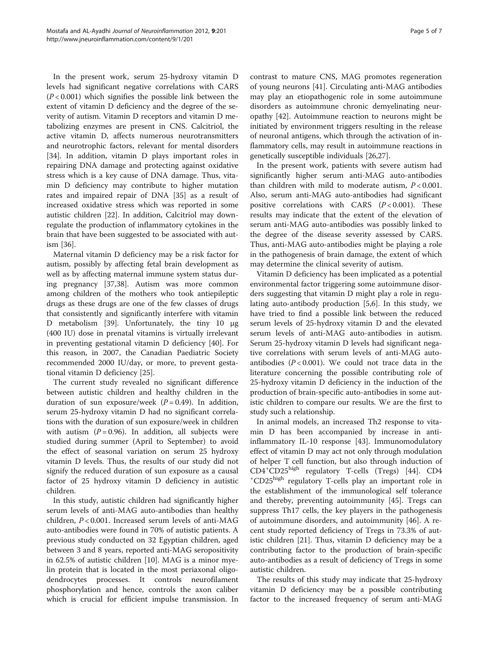In the present work, serum 25-hydroxy vitamin D levels had significant negative correlations with CARS  $(P<0.001)$  which signifies the possible link between the extent of vitamin D deficiency and the degree of the severity of autism. Vitamin D receptors and vitamin D metabolizing enzymes are present in CNS. Calcitriol, the active vitamin D, affects numerous neurotransmitters and neurotrophic factors, relevant for mental disorders [[34\]](#page-6-0). In addition, vitamin D plays important roles in repairing DNA damage and protecting against oxidative stress which is a key cause of DNA damage. Thus, vitamin D deficiency may contribute to higher mutation rates and impaired repair of DNA [\[35\]](#page-6-0) as a result of increased oxidative stress which was reported in some autistic children [[22](#page-5-0)]. In addition, Calcitriol may downregulate the production of inflammatory cytokines in the brain that have been suggested to be associated with autism [\[36](#page-6-0)].

Maternal vitamin D deficiency may be a risk factor for autism, possibly by affecting fetal brain development as well as by affecting maternal immune system status during pregnancy [[37,38\]](#page-6-0). Autism was more common among children of the mothers who took antiepileptic drugs as these drugs are one of the few classes of drugs that consistently and significantly interfere with vitamin D metabolism [[39\]](#page-6-0). Unfortunately, the tiny 10 μg (400 IU) dose in prenatal vitamins is virtually irrelevant in preventing gestational vitamin D deficiency [\[40](#page-6-0)]. For this reason, in 2007, the Canadian Paediatric Society recommended 2000 IU/day, or more, to prevent gestational vitamin D deficiency [\[25](#page-6-0)].

The current study revealed no significant difference between autistic children and healthy children in the duration of sun exposure/week  $(P = 0.49)$ . In addition, serum 25-hydroxy vitamin D had no significant correlations with the duration of sun exposure/week in children with autism  $(P = 0.96)$ . In addition, all subjects were studied during summer (April to September) to avoid the effect of seasonal variation on serum 25 hydroxy vitamin D levels. Thus, the results of our study did not signify the reduced duration of sun exposure as a causal factor of 25 hydroxy vitamin D deficiency in autistic children.

In this study, autistic children had significantly higher serum levels of anti-MAG auto-antibodies than healthy children, P < 0.001. Increased serum levels of anti-MAG auto-antibodies were found in 70% of autistic patients. A previous study conducted on 32 Egyptian children, aged between 3 and 8 years, reported anti-MAG seropositivity in 62.5% of autistic children [\[10\]](#page-5-0). MAG is a minor myelin protein that is located in the most periaxonal oligodendrocytes processes. It controls neurofilament phosphorylation and hence, controls the axon caliber which is crucial for efficient impulse transmission. In

contrast to mature CNS, MAG promotes regeneration of young neurons [[41\]](#page-6-0). Circulating anti-MAG antibodies may play an etiopathogenic role in some autoimmune disorders as autoimmune chronic demyelinating neuropathy [\[42\]](#page-6-0). Autoimmune reaction to neurons might be initiated by environment triggers resulting in the release of neuronal antigens, which through the activation of inflammatory cells, may result in autoimmune reactions in genetically susceptible individuals [\[26,27](#page-6-0)].

In the present work, patients with severe autism had significantly higher serum anti-MAG auto-antibodies than children with mild to moderate autism,  $P < 0.001$ . Also, serum anti-MAG auto-antibodies had significant positive correlations with CARS  $(P < 0.001)$ . These results may indicate that the extent of the elevation of serum anti-MAG auto-antibodies was possibly linked to the degree of the disease severity assessed by CARS. Thus, anti-MAG auto-antibodies might be playing a role in the pathogenesis of brain damage, the extent of which may determine the clinical severity of autism.

Vitamin D deficiency has been implicated as a potential environmental factor triggering some autoimmune disorders suggesting that vitamin D might play a role in regulating auto-antibody production [[5](#page-5-0),[6\]](#page-5-0). In this study, we have tried to find a possible link between the reduced serum levels of 25-hydroxy vitamin D and the elevated serum levels of anti-MAG auto-antibodies in autism. Serum 25-hydroxy vitamin D levels had significant negative correlations with serum levels of anti-MAG autoantibodies  $(P < 0.001)$ . We could not trace data in the literature concerning the possible contributing role of 25-hydroxy vitamin D deficiency in the induction of the production of brain-specific auto-antibodies in some autistic children to compare our results. We are the first to study such a relationship.

In animal models, an increased Th2 response to vitamin D has been accompanied by increase in antiinflammatory IL-10 response [[43\]](#page-6-0). Immunomodulatory effect of vitamin D may act not only through modulation of helper T cell function, but also through induction of  $CD4^+CD25^{\text{high}}$  regulatory T-cells (Tregs) [\[44\]](#page-6-0).  $CD4^{\text{high}}$  regulatory T cells play an important role in CD25high regulatory T-cells play an important role in the establishment of the immunological self tolerance and thereby, preventing autoimmunity [\[45](#page-6-0)]. Tregs can suppress Th17 cells, the key players in the pathogenesis of autoimmune disorders, and autoimmunity [[46\]](#page-6-0). A recent study reported deficiency of Tregs in 73.3% of autistic children [\[21\]](#page-5-0). Thus, vitamin D deficiency may be a contributing factor to the production of brain-specific auto-antibodies as a result of deficiency of Tregs in some autistic children.

The results of this study may indicate that 25-hydroxy vitamin D deficiency may be a possible contributing factor to the increased frequency of serum anti-MAG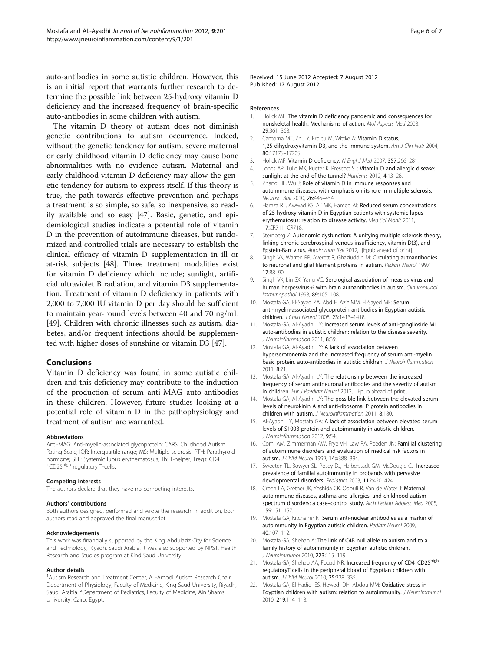<span id="page-5-0"></span>auto-antibodies in some autistic children. However, this is an initial report that warrants further research to determine the possible link between 25-hydroxy vitamin D deficiency and the increased frequency of brain-specific auto-antibodies in some children with autism.

The vitamin D theory of autism does not diminish genetic contributions to autism occurrence. Indeed, without the genetic tendency for autism, severe maternal or early childhood vitamin D deficiency may cause bone abnormalities with no evidence autism. Maternal and early childhood vitamin D deficiency may allow the genetic tendency for autism to express itself. If this theory is true, the path towards effective prevention and perhaps a treatment is so simple, so safe, so inexpensive, so readily available and so easy [\[47\]](#page-6-0). Basic, genetic, and epidemiological studies indicate a potential role of vitamin D in the prevention of autoimmune diseases, but randomized and controlled trials are necessary to establish the clinical efficacy of vitamin D supplementation in ill or at-risk subjects [\[48\]](#page-6-0). Three treatment modalities exist for vitamin D deficiency which include; sunlight, artificial ultraviolet B radiation, and vitamin D3 supplementation. Treatment of vitamin D deficiency in patients with 2,000 to 7,000 IU vitamin D per day should be sufficient to maintain year-round levels between 40 and 70 ng/mL [[49\]](#page-6-0). Children with chronic illnesses such as autism, diabetes, and/or frequent infections should be supplemented with higher doses of sunshine or vitamin D3 [\[47\]](#page-6-0).

## Conclusions

Vitamin D deficiency was found in some autistic children and this deficiency may contribute to the induction of the production of serum anti-MAG auto-antibodies in these children. However, future studies looking at a potential role of vitamin D in the pathophysiology and treatment of autism are warranted.

#### Abbreviations

Anti-MAG: Anti-myelin-associated glycoprotein; CARS: Childhood Autism Rating Scale; IQR: Interquartile range; MS: Multiple sclerosis; PTH: Parathyroid hormone; SLE: Systemic lupus erythematosus; Th: T-helper; Tregs: CD4 + CD25high regulatory T-cells.

#### Competing interests

The authors declare that they have no competing interests.

#### Authors' contributions

Both authors designed, performed and wrote the research. In addition, both authors read and approved the final manuscript.

#### Acknowledgements

This work was financially supported by the King Abdulaziz City for Science and Technology, Riyadh, Saudi Arabia. It was also supported by NPST, Health Research and Studies program at Kind Saud University.

#### Author details

<sup>1</sup> Autism Research and Treatment Center, AL-Amodi Autism Research Chair, Department of Physiology, Faculty of Medicine, King Saud University, Riyadh, Saudi Arabia. <sup>2</sup>Department of Pediatrics, Faculty of Medicine, Ain Shams University, Cairo, Egypt.

Received: 15 June 2012 Accepted: 7 August 2012 Published: 17 August 2012

#### References

- 1. Holick MF: The vitamin D deficiency pandemic and consequences for nonskeletal health: Mechanisms of action. Mol Aspects Med 2008, 29:361–368.
- 2. Cantorna MT, Zhu Y, Froicu M, Wittke A: Vitamin D status, 1,25-dihydroxyvitamin D3, and the immune system. Am J Clin Nutr 2004, 80:1717S–1720S.
- 3. Holick MF: Vitamin D deficiency. N Engl J Med 2007, 357:266–281.
- 4. Jones AP, Tulic MK, Rueter K, Prescott SL: Vitamin D and allergic disease: sunlight at the end of the tunnel? Nutrients 2012, 4:13-28.
- 5. Zhang HL, Wu J: Role of vitamin D in immune responses and autoimmune diseases, with emphasis on its role in multiple sclerosis. Neurosci Bull 2010, 26:445–454.
- 6. Hamza RT, Awwad KS, Ali MK, Hamed AI: Reduced serum concentrations of 25-hydroxy vitamin D in Egyptian patients with systemic lupus erythematosus: relation to disease activity. Med Sci Monit 2011, 17:CR711–CR718.
- 7. Sternberg Z: Autonomic dysfunction: A unifying multiple sclerosis theory, linking chronic cerebrospinal venous insufficiency, vitamin D(3), and Epstein-Barr virus. Autoimmun Rev 2012, [Epub ahead of print].
- 8. Singh VK, Warren RP, Averett R, Ghaziuddin M: Circulating autoantibodies to neuronal and glial filament proteins in autism. Pediatr Neurol 1997, 17:88–90.
- 9. Singh VK, Lin SX, Yang VC: Serological association of measles virus and human herpesvirus-6 with brain autoantibodies in autism. Clin Immunol Immunopathol 1998, 89:105–108.
- 10. Mostafa GA, El-Sayed ZA, Abd El Aziz MM, El-Sayed MF: Serum anti-myelin-associated glycoprotein antibodies in Egyptian autistic children. J Child Neurol 2008, 23:1413–1418.
- 11. Mostafa GA, Al-Ayadhi LY: Increased serum levels of anti-ganglioside M1 auto-antibodies in autistic children: relation to the disease severity. J Neuroinflammation 2011, 8:39.
- 12. Mostafa GA, Al-Ayadhi LY: A lack of association between hyperserotonemia and the increased frequency of serum anti-myelin basic protein. auto-antibodies in autistic children. J Neuroinflammation 2011, 8:71.
- 13. Mostafa GA, Al-Ayadhi LY: The relationship between the increased frequency of serum antineuronal antibodies and the severity of autism in children. Eur J Paediatr Neurol 2012, [Epub ahead of print].
- 14. Mostafa GA, Al-Ayadhi LY: The possible link between the elevated serum levels of neurokinin A and anti-ribosomal P protein antibodies in children with autism. J Neuroinflammation 2011. 8:180.
- 15. Al-Ayadhi LY, Mostafa GA: A lack of association between elevated serum levels of S100B protein and autoimmunity in autistic children. J Neuroinflammation 2012, 9:54.
- 16. Comi AM, Zimmerman AW, Frye VH, Law PA, Peeden JN: Familial clustering of autoimmune disorders and evaluation of medical risk factors in autism. J Child Neurol 1999, 14:x388–394.
- 17. Sweeten TL, Bowyer SL, Posey DJ, Halberstadt GM, McDougle CJ: Increased prevalence of familial autoimmunity in probands with pervasive developmental disorders. Pediatrics 2003, 112:420–424.
- 18. Croen LA, Grether JK, Yoshida CK, Odouli R, Van de Water J: Maternal autoimmune diseases, asthma and allergies, and childhood autism spectrum disorders: a case–control study. Arch Pediatr Adolesc Med 2005, 159:151–157.
- 19. Mostafa GA, Kitchener N: Serum anti-nuclear antibodies as a marker of autoimmunity in Egyptian autistic children. Pediatr Neurol 2009, 40:107–112.
- 20. Mostafa GA, Shehab A: The link of C4B null allele to autism and to a family history of autoimmunity in Egyptian autistic children. J Neuroimmunol 2010, 223:115–119.
- 21. Mostafa GA, Shehab AA, Fouad NR: Increased frequency of CD4<sup>+</sup>CD25high regulatoryT cells in the peripheral blood of Egyptian children with autism. J Child Neurol 2010, 25:328–335.
- 22. Mostafa GA, El-Hadidi ES, Hewedi DH, Abdou MM: Oxidative stress in Egyptian children with autism: relation to autoimmunity. J Neuroimmunol 2010, 219:114–118.